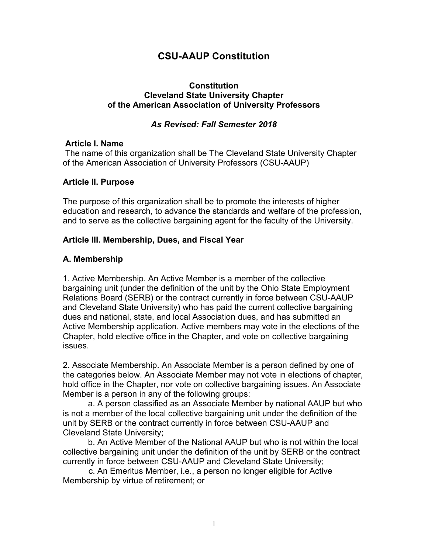# **CSU-AAUP Constitution**

### **Constitution Cleveland State University Chapter of the American Association of University Professors**

### *As Revised: Fall Semester 2018*

### **Article I. Name**

The name of this organization shall be The Cleveland State University Chapter of the American Association of University Professors (CSU-AAUP)

### **Article II. Purpose**

The purpose of this organization shall be to promote the interests of higher education and research, to advance the standards and welfare of the profession, and to serve as the collective bargaining agent for the faculty of the University.

### **Article III. Membership, Dues, and Fiscal Year**

# **A. Membership**

1. Active Membership. An Active Member is a member of the collective bargaining unit (under the definition of the unit by the Ohio State Employment Relations Board (SERB) or the contract currently in force between CSU-AAUP and Cleveland State University) who has paid the current collective bargaining dues and national, state, and local Association dues, and has submitted an Active Membership application. Active members may vote in the elections of the Chapter, hold elective office in the Chapter, and vote on collective bargaining issues.

2. Associate Membership. An Associate Member is a person defined by one of the categories below. An Associate Member may not vote in elections of chapter, hold office in the Chapter, nor vote on collective bargaining issues. An Associate Member is a person in any of the following groups:

a. A person classified as an Associate Member by national AAUP but who is not a member of the local collective bargaining unit under the definition of the unit by SERB or the contract currently in force between CSU-AAUP and Cleveland State University;

b. An Active Member of the National AAUP but who is not within the local collective bargaining unit under the definition of the unit by SERB or the contract currently in force between CSU-AAUP and Cleveland State University;

 c. An Emeritus Member, i.e., a person no longer eligible for Active Membership by virtue of retirement; or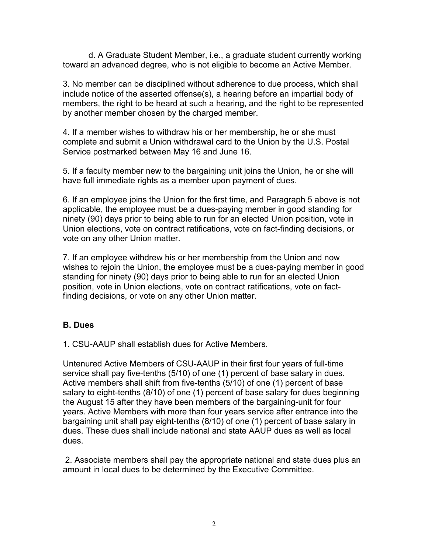d. A Graduate Student Member, i.e., a graduate student currently working toward an advanced degree, who is not eligible to become an Active Member.

3. No member can be disciplined without adherence to due process, which shall include notice of the asserted offense(s), a hearing before an impartial body of members, the right to be heard at such a hearing, and the right to be represented by another member chosen by the charged member.

4. If a member wishes to withdraw his or her membership, he or she must complete and submit a Union withdrawal card to the Union by the U.S. Postal Service postmarked between May 16 and June 16.

5. If a faculty member new to the bargaining unit joins the Union, he or she will have full immediate rights as a member upon payment of dues.

6. If an employee joins the Union for the first time, and Paragraph 5 above is not applicable, the employee must be a dues-paying member in good standing for ninety (90) days prior to being able to run for an elected Union position, vote in Union elections, vote on contract ratifications, vote on fact-finding decisions, or vote on any other Union matter.

7. If an employee withdrew his or her membership from the Union and now wishes to rejoin the Union, the employee must be a dues-paying member in good standing for ninety (90) days prior to being able to run for an elected Union position, vote in Union elections, vote on contract ratifications, vote on factfinding decisions, or vote on any other Union matter.

# **B. Dues**

1. CSU-AAUP shall establish dues for Active Members.

Untenured Active Members of CSU-AAUP in their first four years of full-time service shall pay five-tenths (5/10) of one (1) percent of base salary in dues. Active members shall shift from five-tenths (5/10) of one (1) percent of base salary to eight-tenths (8/10) of one (1) percent of base salary for dues beginning the August 15 after they have been members of the bargaining-unit for four years. Active Members with more than four years service after entrance into the bargaining unit shall pay eight-tenths (8/10) of one (1) percent of base salary in dues. These dues shall include national and state AAUP dues as well as local dues.

2. Associate members shall pay the appropriate national and state dues plus an amount in local dues to be determined by the Executive Committee.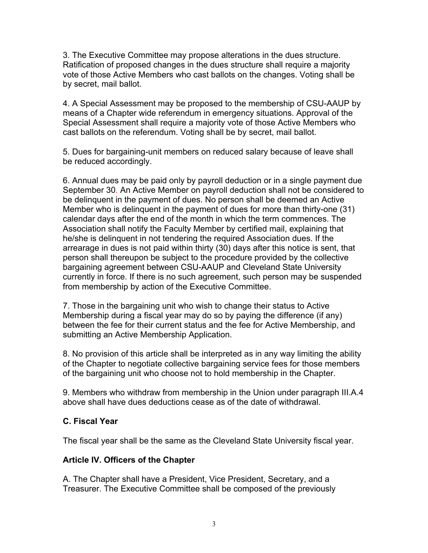3. The Executive Committee may propose alterations in the dues structure. Ratification of proposed changes in the dues structure shall require a majority vote of those Active Members who cast ballots on the changes. Voting shall be by secret, mail ballot.

4. A Special Assessment may be proposed to the membership of CSU-AAUP by means of a Chapter wide referendum in emergency situations. Approval of the Special Assessment shall require a majority vote of those Active Members who cast ballots on the referendum. Voting shall be by secret, mail ballot.

5. Dues for bargaining-unit members on reduced salary because of leave shall be reduced accordingly.

6. Annual dues may be paid only by payroll deduction or in a single payment due September 30*.* An Active Member on payroll deduction shall not be considered to be delinquent in the payment of dues. No person shall be deemed an Active Member who is delinquent in the payment of dues for more than thirty-one (31) calendar days after the end of the month in which the term commences. The Association shall notify the Faculty Member by certified mail, explaining that he/she is delinquent in not tendering the required Association dues. If the arrearage in dues is not paid within thirty (30) days after this notice is sent, that person shall thereupon be subject to the procedure provided by the collective bargaining agreement between CSU-AAUP and Cleveland State University currently in force. If there is no such agreement, such person may be suspended from membership by action of the Executive Committee.

7. Those in the bargaining unit who wish to change their status to Active Membership during a fiscal year may do so by paying the difference (if any) between the fee for their current status and the fee for Active Membership, and submitting an Active Membership Application.

8. No provision of this article shall be interpreted as in any way limiting the ability of the Chapter to negotiate collective bargaining service fees for those members of the bargaining unit who choose not to hold membership in the Chapter.

9. Members who withdraw from membership in the Union under paragraph III.A.4 above shall have dues deductions cease as of the date of withdrawal.

# **C. Fiscal Year**

The fiscal year shall be the same as the Cleveland State University fiscal year.

# **Article IV. Officers of the Chapter**

A. The Chapter shall have a President, Vice President, Secretary, and a Treasurer. The Executive Committee shall be composed of the previously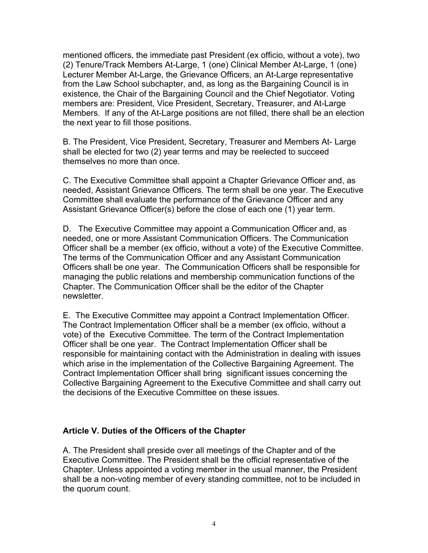mentioned officers, the immediate past President (ex officio, without a vote), two (2) Tenure/Track Members At-Large, 1 (one) Clinical Member At-Large, 1 (one) Lecturer Member At-Large, the Grievance Officers, an At-Large representative from the Law School subchapter, and, as long as the Bargaining Council is in existence, the Chair of the Bargaining Council and the Chief Negotiator. Voting members are: President, Vice President, Secretary, Treasurer, and At-Large Members. If any of the At-Large positions are not filled, there shall be an election the next year to fill those positions.

B. The President, Vice President, Secretary, Treasurer and Members At- Large shall be elected for two (2) year terms and may be reelected to succeed themselves no more than once.

C. The Executive Committee shall appoint a Chapter Grievance Officer and, as needed, Assistant Grievance Officers. The term shall be one year. The Executive Committee shall evaluate the performance of the Grievance Officer and any Assistant Grievance Officer(s) before the close of each one (1) year term.

D. The Executive Committee may appoint a Communication Officer and, as needed, one or more Assistant Communication Officers. The Communication Officer shall be a member (ex officio, without a vote) of the Executive Committee. The terms of the Communication Officer and any Assistant Communication Officers shall be one year. The Communication Officers shall be responsible for managing the public relations and membership communication functions of the Chapter. The Communication Officer shall be the editor of the Chapter newsletter.

E. The Executive Committee may appoint a Contract Implementation Officer. The Contract Implementation Officer shall be a member (ex officio, without a vote) of the Executive Committee. The term of the Contract Implementation Officer shall be one year. The Contract Implementation Officer shall be responsible for maintaining contact with the Administration in dealing with issues which arise in the implementation of the Collective Bargaining Agreement. The Contract Implementation Officer shall bring significant issues concerning the Collective Bargaining Agreement to the Executive Committee and shall carry out the decisions of the Executive Committee on these issues.

### **Article V. Duties of the Officers of the Chapter**

A. The President shall preside over all meetings of the Chapter and of the Executive Committee. The President shall be the official representative of the Chapter. Unless appointed a voting member in the usual manner, the President shall be a non-voting member of every standing committee, not to be included in the quorum count.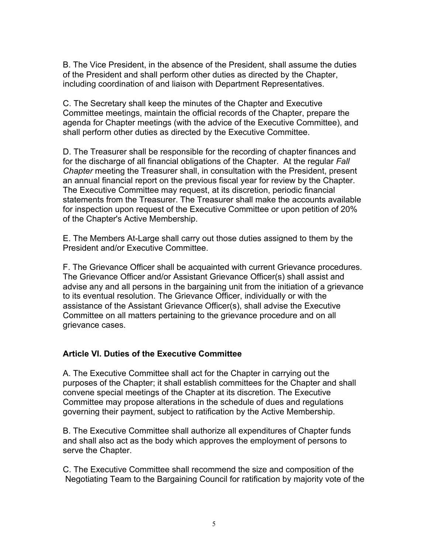B. The Vice President, in the absence of the President, shall assume the duties of the President and shall perform other duties as directed by the Chapter, including coordination of and liaison with Department Representatives.

C. The Secretary shall keep the minutes of the Chapter and Executive Committee meetings, maintain the official records of the Chapter, prepare the agenda for Chapter meetings (with the advice of the Executive Committee), and shall perform other duties as directed by the Executive Committee.

D. The Treasurer shall be responsible for the recording of chapter finances and for the discharge of all financial obligations of the Chapter. At the regular *Fall Chapter* meeting the Treasurer shall, in consultation with the President, present an annual financial report on the previous fiscal year for review by the Chapter. The Executive Committee may request, at its discretion, periodic financial statements from the Treasurer. The Treasurer shall make the accounts available for inspection upon request of the Executive Committee or upon petition of 20% of the Chapter's Active Membership.

E. The Members At-Large shall carry out those duties assigned to them by the President and/or Executive Committee.

F. The Grievance Officer shall be acquainted with current Grievance procedures. The Grievance Officer and/or Assistant Grievance Officer(s) shall assist and advise any and all persons in the bargaining unit from the initiation of a grievance to its eventual resolution. The Grievance Officer, individually or with the assistance of the Assistant Grievance Officer(s), shall advise the Executive Committee on all matters pertaining to the grievance procedure and on all grievance cases.

# **Article VI. Duties of the Executive Committee**

A. The Executive Committee shall act for the Chapter in carrying out the purposes of the Chapter; it shall establish committees for the Chapter and shall convene special meetings of the Chapter at its discretion. The Executive Committee may propose alterations in the schedule of dues and regulations governing their payment, subject to ratification by the Active Membership.

B. The Executive Committee shall authorize all expenditures of Chapter funds and shall also act as the body which approves the employment of persons to serve the Chapter.

C. The Executive Committee shall recommend the size and composition of the Negotiating Team to the Bargaining Council for ratification by majority vote of the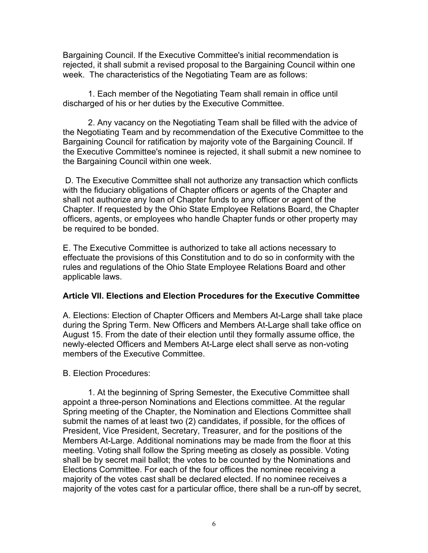Bargaining Council. If the Executive Committee's initial recommendation is rejected, it shall submit a revised proposal to the Bargaining Council within one week. The characteristics of the Negotiating Team are as follows:

1. Each member of the Negotiating Team shall remain in office until discharged of his or her duties by the Executive Committee.

2. Any vacancy on the Negotiating Team shall be filled with the advice of the Negotiating Team and by recommendation of the Executive Committee to the Bargaining Council for ratification by majority vote of the Bargaining Council. If the Executive Committee's nominee is rejected, it shall submit a new nominee to the Bargaining Council within one week.

D. The Executive Committee shall not authorize any transaction which conflicts with the fiduciary obligations of Chapter officers or agents of the Chapter and shall not authorize any loan of Chapter funds to any officer or agent of the Chapter. If requested by the Ohio State Employee Relations Board, the Chapter officers, agents, or employees who handle Chapter funds or other property may be required to be bonded.

E. The Executive Committee is authorized to take all actions necessary to effectuate the provisions of this Constitution and to do so in conformity with the rules and regulations of the Ohio State Employee Relations Board and other applicable laws.

### **Article VII. Elections and Election Procedures for the Executive Committee**

A. Elections: Election of Chapter Officers and Members At-Large shall take place during the Spring Term. New Officers and Members At-Large shall take office on August 15. From the date of their election until they formally assume office, the newly-elected Officers and Members At-Large elect shall serve as non-voting members of the Executive Committee.

# B. Election Procedures:

1. At the beginning of Spring Semester, the Executive Committee shall appoint a three-person Nominations and Elections committee. At the regular Spring meeting of the Chapter, the Nomination and Elections Committee shall submit the names of at least two (2) candidates, if possible, for the offices of President, Vice President, Secretary, Treasurer, and for the positions of the Members At-Large. Additional nominations may be made from the floor at this meeting. Voting shall follow the Spring meeting as closely as possible. Voting shall be by secret mail ballot; the votes to be counted by the Nominations and Elections Committee. For each of the four offices the nominee receiving a majority of the votes cast shall be declared elected. If no nominee receives a majority of the votes cast for a particular office, there shall be a run-off by secret,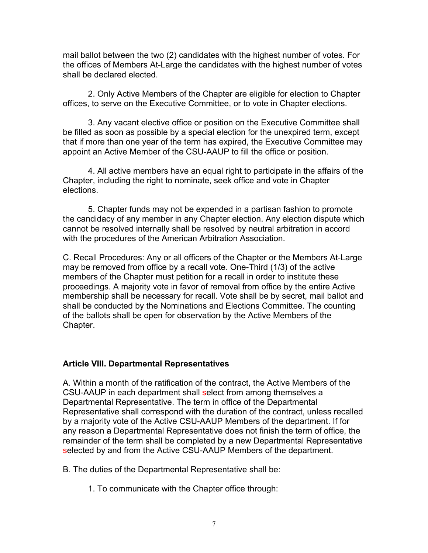mail ballot between the two (2) candidates with the highest number of votes. For the offices of Members At-Large the candidates with the highest number of votes shall be declared elected.

2. Only Active Members of the Chapter are eligible for election to Chapter offices, to serve on the Executive Committee, or to vote in Chapter elections.

3. Any vacant elective office or position on the Executive Committee shall be filled as soon as possible by a special election for the unexpired term, except that if more than one year of the term has expired, the Executive Committee may appoint an Active Member of the CSU-AAUP to fill the office or position.

4. All active members have an equal right to participate in the affairs of the Chapter, including the right to nominate, seek office and vote in Chapter elections.

5. Chapter funds may not be expended in a partisan fashion to promote the candidacy of any member in any Chapter election. Any election dispute which cannot be resolved internally shall be resolved by neutral arbitration in accord with the procedures of the American Arbitration Association.

C. Recall Procedures: Any or all officers of the Chapter or the Members At-Large may be removed from office by a recall vote. One-Third (1/3) of the active members of the Chapter must petition for a recall in order to institute these proceedings. A majority vote in favor of removal from office by the entire Active membership shall be necessary for recall. Vote shall be by secret, mail ballot and shall be conducted by the Nominations and Elections Committee. The counting of the ballots shall be open for observation by the Active Members of the Chapter.

#### **Article VIII. Departmental Representatives**

A. Within a month of the ratification of the contract, the Active Members of the CSU-AAUP in each department shall select from among themselves a Departmental Representative. The term in office of the Departmental Representative shall correspond with the duration of the contract, unless recalled by a majority vote of the Active CSU-AAUP Members of the department. If for any reason a Departmental Representative does not finish the term of office, the remainder of the term shall be completed by a new Departmental Representative selected by and from the Active CSU-AAUP Members of the department.

B. The duties of the Departmental Representative shall be:

1. To communicate with the Chapter office through: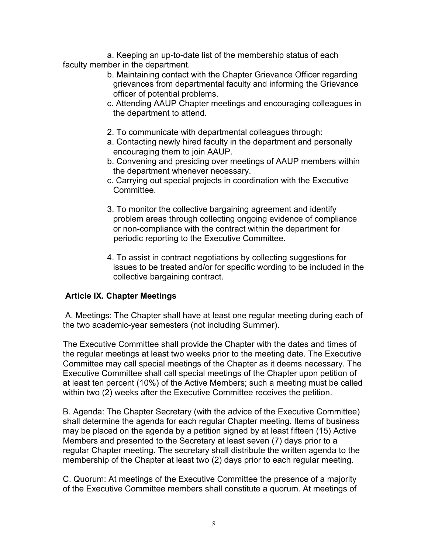a. Keeping an up-to-date list of the membership status of each faculty member in the department.

- b. Maintaining contact with the Chapter Grievance Officer regarding grievances from departmental faculty and informing the Grievance officer of potential problems.
- c. Attending AAUP Chapter meetings and encouraging colleagues in the department to attend.
- 2. To communicate with departmental colleagues through:
- a. Contacting newly hired faculty in the department and personally encouraging them to join AAUP.
- b. Convening and presiding over meetings of AAUP members within the department whenever necessary.
- c. Carrying out special projects in coordination with the Executive Committee.
- 3. To monitor the collective bargaining agreement and identify problem areas through collecting ongoing evidence of compliance or non-compliance with the contract within the department for periodic reporting to the Executive Committee.
- 4. To assist in contract negotiations by collecting suggestions for issues to be treated and/or for specific wording to be included in the collective bargaining contract.

### **Article IX. Chapter Meetings**

A. Meetings: The Chapter shall have at least one regular meeting during each of the two academic-year semesters (not including Summer).

The Executive Committee shall provide the Chapter with the dates and times of the regular meetings at least two weeks prior to the meeting date. The Executive Committee may call special meetings of the Chapter as it deems necessary. The Executive Committee shall call special meetings of the Chapter upon petition of at least ten percent (10%) of the Active Members; such a meeting must be called within two (2) weeks after the Executive Committee receives the petition.

B. Agenda: The Chapter Secretary (with the advice of the Executive Committee) shall determine the agenda for each regular Chapter meeting. Items of business may be placed on the agenda by a petition signed by at least fifteen (15) Active Members and presented to the Secretary at least seven (7) days prior to a regular Chapter meeting. The secretary shall distribute the written agenda to the membership of the Chapter at least two (2) days prior to each regular meeting.

C. Quorum: At meetings of the Executive Committee the presence of a majority of the Executive Committee members shall constitute a quorum. At meetings of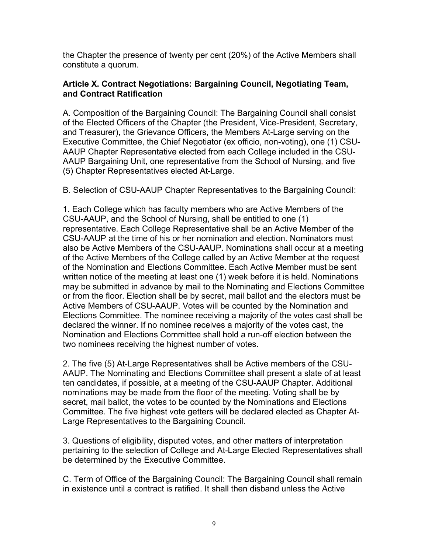the Chapter the presence of twenty per cent (20%) of the Active Members shall constitute a quorum.

### **Article X. Contract Negotiations: Bargaining Council, Negotiating Team, and Contract Ratification**

A. Composition of the Bargaining Council: The Bargaining Council shall consist of the Elected Officers of the Chapter (the President, Vice-President, Secretary, and Treasurer), the Grievance Officers, the Members At-Large serving on the Executive Committee, the Chief Negotiator (ex officio, non-voting), one (1) CSU-AAUP Chapter Representative elected from each College included in the CSU-AAUP Bargaining Unit, one representative from the School of Nursing*,* and five (5) Chapter Representatives elected At-Large.

B. Selection of CSU-AAUP Chapter Representatives to the Bargaining Council:

1. Each College which has faculty members who are Active Members of the CSU-AAUP, and the School of Nursing, shall be entitled to one (1) representative. Each College Representative shall be an Active Member of the CSU-AAUP at the time of his or her nomination and election. Nominators must also be Active Members of the CSU-AAUP. Nominations shall occur at a meeting of the Active Members of the College called by an Active Member at the request of the Nomination and Elections Committee. Each Active Member must be sent written notice of the meeting at least one (1) week before it is held. Nominations may be submitted in advance by mail to the Nominating and Elections Committee or from the floor. Election shall be by secret, mail ballot and the electors must be Active Members of CSU-AAUP. Votes will be counted by the Nomination and Elections Committee. The nominee receiving a majority of the votes cast shall be declared the winner. If no nominee receives a majority of the votes cast, the Nomination and Elections Committee shall hold a run-off election between the two nominees receiving the highest number of votes.

2. The five (5) At-Large Representatives shall be Active members of the CSU-AAUP. The Nominating and Elections Committee shall present a slate of at least ten candidates, if possible, at a meeting of the CSU-AAUP Chapter. Additional nominations may be made from the floor of the meeting. Voting shall be by secret, mail ballot, the votes to be counted by the Nominations and Elections Committee. The five highest vote getters will be declared elected as Chapter At-Large Representatives to the Bargaining Council.

3. Questions of eligibility, disputed votes, and other matters of interpretation pertaining to the selection of College and At-Large Elected Representatives shall be determined by the Executive Committee.

C. Term of Office of the Bargaining Council: The Bargaining Council shall remain in existence until a contract is ratified. It shall then disband unless the Active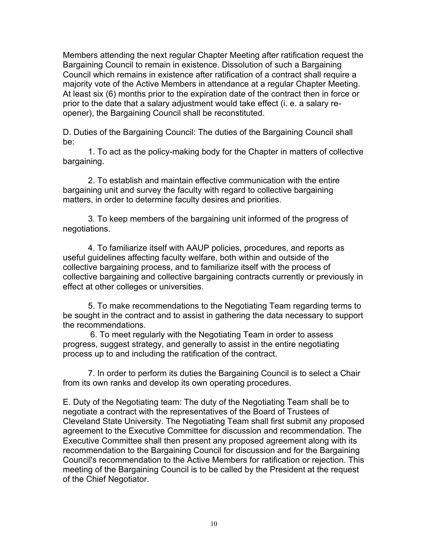Members attending the next regular Chapter Meeting after ratification request the Bargaining Council to remain in existence. Dissolution of such a Bargaining Council which remains in existence after ratification of a contract shall require a majority vote of the Active Members in attendance at a regular Chapter Meeting. At least six (6) months prior to the expiration date of the contract then in force or prior to the date that a salary adjustment would take effect (i. e. a salary reopener), the Bargaining Council shall be reconstituted.

D. Duties of the Bargaining Council: The duties of the Bargaining Council shall be:

1. To act as the policy-making body for the Chapter in matters of collective bargaining.

2. To establish and maintain effective communication with the entire bargaining unit and survey the faculty with regard to collective bargaining matters, in order to determine faculty desires and priorities.

3. To keep members of the bargaining unit informed of the progress of negotiations.

4. To familiarize itself with AAUP policies, procedures, and reports as useful guidelines affecting faculty welfare, both within and outside of the collective bargaining process, and to familiarize itself with the process of collective bargaining and collective bargaining contracts currently or previously in effect at other colleges or universities.

5. To make recommendations to the Negotiating Team regarding terms to be sought in the contract and to assist in gathering the data necessary to support the recommendations.

6. To meet regularly with the Negotiating Team in order to assess progress, suggest strategy, and generally to assist in the entire negotiating process up to and including the ratification of the contract.

7. In order to perform its duties the Bargaining Council is to select a Chair from its own ranks and develop its own operating procedures.

E. Duty of the Negotiating team: The duty of the Negotiating Team shall be to negotiate a contract with the representatives of the Board of Trustees of Cleveland State University. The Negotiating Team shall first submit any proposed agreement to the Executive Committee for discussion and recommendation. The Executive Committee shall then present any proposed agreement along with its recommendation to the Bargaining Council for discussion and for the Bargaining Council's recommendation to the Active Members for ratification or rejection. This meeting of the Bargaining Council is to be called by the President at the request of the Chief Negotiator.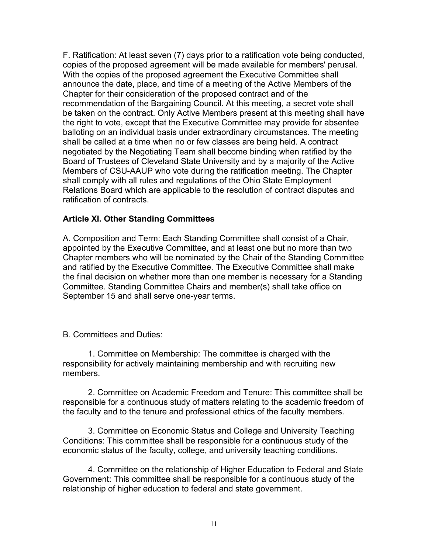F. Ratification: At least seven (7) days prior to a ratification vote being conducted, copies of the proposed agreement will be made available for members' perusal. With the copies of the proposed agreement the Executive Committee shall announce the date, place, and time of a meeting of the Active Members of the Chapter for their consideration of the proposed contract and of the recommendation of the Bargaining Council. At this meeting, a secret vote shall be taken on the contract. Only Active Members present at this meeting shall have the right to vote, except that the Executive Committee may provide for absentee balloting on an individual basis under extraordinary circumstances. The meeting shall be called at a time when no or few classes are being held. A contract negotiated by the Negotiating Team shall become binding when ratified by the Board of Trustees of Cleveland State University and by a majority of the Active Members of CSU-AAUP who vote during the ratification meeting. The Chapter shall comply with all rules and regulations of the Ohio State Employment Relations Board which are applicable to the resolution of contract disputes and ratification of contracts.

### **Article XI. Other Standing Committees**

A. Composition and Term: Each Standing Committee shall consist of a Chair, appointed by the Executive Committee, and at least one but no more than two Chapter members who will be nominated by the Chair of the Standing Committee and ratified by the Executive Committee. The Executive Committee shall make the final decision on whether more than one member is necessary for a Standing Committee. Standing Committee Chairs and member(s) shall take office on September 15 and shall serve one-year terms.

#### B. Committees and Duties:

1. Committee on Membership: The committee is charged with the responsibility for actively maintaining membership and with recruiting new members.

2. Committee on Academic Freedom and Tenure: This committee shall be responsible for a continuous study of matters relating to the academic freedom of the faculty and to the tenure and professional ethics of the faculty members.

3. Committee on Economic Status and College and University Teaching Conditions: This committee shall be responsible for a continuous study of the economic status of the faculty, college, and university teaching conditions.

4. Committee on the relationship of Higher Education to Federal and State Government: This committee shall be responsible for a continuous study of the relationship of higher education to federal and state government.